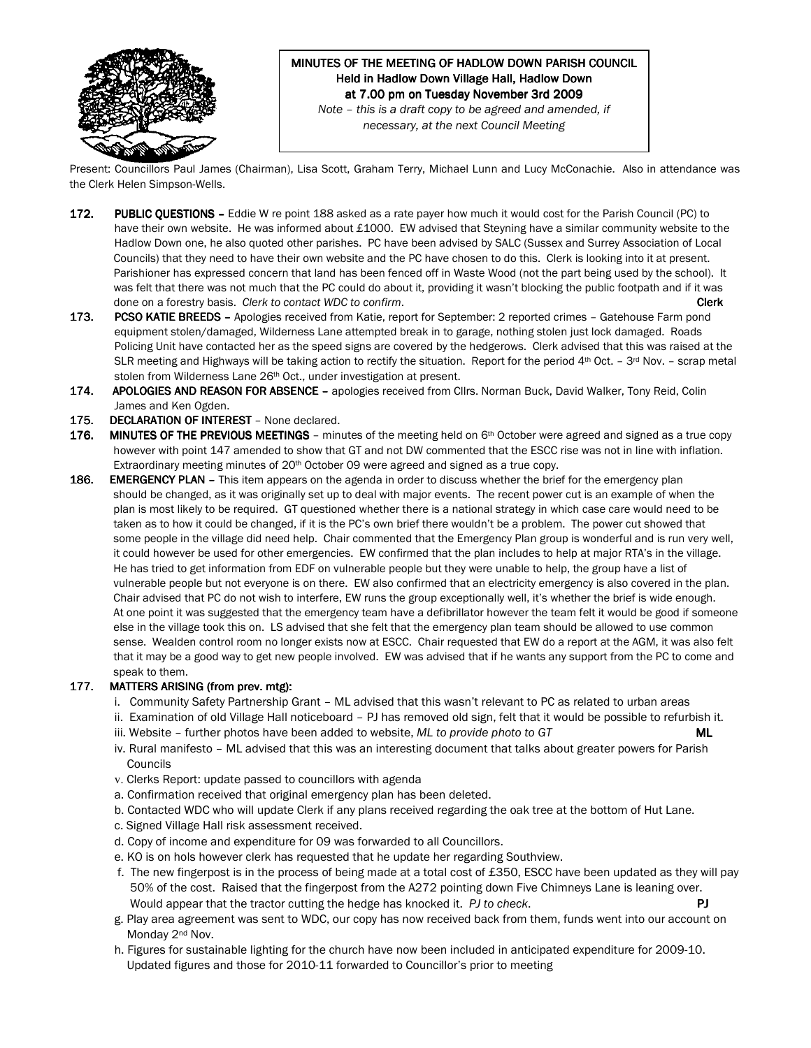

# MINUTES OF THE MEETING OF HADLOW DOWN PARISH COUNCIL Held in Hadlow Down Village Hall, Hadlow Down at 7.00 pm on Tuesday November 3rd 2009

Note – this is a draft copy to be agreed and amended, if necessary, at the next Council Meeting

Present: Councillors Paul James (Chairman), Lisa Scott, Graham Terry, Michael Lunn and Lucy McConachie. Also in attendance was the Clerk Helen Simpson-Wells.

- 172. PUBLIC OUESTIONS Eddie W re point 188 asked as a rate payer how much it would cost for the Parish Council (PC) to have their own website. He was informed about £1000. EW advised that Steyning have a similar community website to the Hadlow Down one, he also quoted other parishes. PC have been advised by SALC (Sussex and Surrey Association of Local Councils) that they need to have their own website and the PC have chosen to do this. Clerk is looking into it at present. Parishioner has expressed concern that land has been fenced off in Waste Wood (not the part being used by the school). It was felt that there was not much that the PC could do about it, providing it wasn't blocking the public footpath and if it was done on a forestry basis. Clerk to contact WDC to confirm.  $\blacksquare$
- 173. PCSO KATIE BREEDS Apologies received from Katie, report for September: 2 reported crimes Gatehouse Farm pond equipment stolen/damaged, Wilderness Lane attempted break in to garage, nothing stolen just lock damaged. Roads Policing Unit have contacted her as the speed signs are covered by the hedgerows. Clerk advised that this was raised at the SLR meeting and Highways will be taking action to rectify the situation. Report for the period  $4^{th}$  Oct. - 3<sup>rd</sup> Nov. - scrap metal stolen from Wilderness Lane 26<sup>th</sup> Oct., under investigation at present.
- 174. APOLOGIES AND REASON FOR ABSENCE apologies received from Cllrs. Norman Buck, David Walker, Tony Reid, Colin James and Ken Ogden.
- 175. DECLARATION OF INTEREST None declared.
- 176. MINUTES OF THE PREVIOUS MEETINGS minutes of the meeting held on 6<sup>th</sup> October were agreed and signed as a true copy however with point 147 amended to show that GT and not DW commented that the ESCC rise was not in line with inflation. Extraordinary meeting minutes of 20<sup>th</sup> October 09 were agreed and signed as a true copy.
- 186. EMERGENCY PLAN This item appears on the agenda in order to discuss whether the brief for the emergency plan should be changed, as it was originally set up to deal with major events. The recent power cut is an example of when the plan is most likely to be required. GT questioned whether there is a national strategy in which case care would need to be taken as to how it could be changed, if it is the PC's own brief there wouldn't be a problem. The power cut showed that some people in the village did need help. Chair commented that the Emergency Plan group is wonderful and is run very well, it could however be used for other emergencies. EW confirmed that the plan includes to help at major RTA's in the village. He has tried to get information from EDF on vulnerable people but they were unable to help, the group have a list of vulnerable people but not everyone is on there. EW also confirmed that an electricity emergency is also covered in the plan. Chair advised that PC do not wish to interfere, EW runs the group exceptionally well, it's whether the brief is wide enough. At one point it was suggested that the emergency team have a defibrillator however the team felt it would be good if someone else in the village took this on. LS advised that she felt that the emergency plan team should be allowed to use common sense. Wealden control room no longer exists now at ESCC. Chair requested that EW do a report at the AGM, it was also felt that it may be a good way to get new people involved. EW was advised that if he wants any support from the PC to come and speak to them.

### 177. MATTERS ARISING (from prev. mtg):

- i. Community Safety Partnership Grant ML advised that this wasn't relevant to PC as related to urban areas
- ii. Examination of old Village Hall noticeboard PJ has removed old sign, felt that it would be possible to refurbish it.
- iii. Website further photos have been added to website,  $ML$  to provide photo to  $GT$  ML
- iv. Rural manifesto ML advised that this was an interesting document that talks about greater powers for Parish Councils
- v. Clerks Report: update passed to councillors with agenda
- a. Confirmation received that original emergency plan has been deleted.
- b. Contacted WDC who will update Clerk if any plans received regarding the oak tree at the bottom of Hut Lane.
- c. Signed Village Hall risk assessment received.
- d. Copy of income and expenditure for 09 was forwarded to all Councillors.
- e. KO is on hols however clerk has requested that he update her regarding Southview.
- f. The new fingerpost is in the process of being made at a total cost of £350, ESCC have been updated as they will pay 50% of the cost. Raised that the fingerpost from the A272 pointing down Five Chimneys Lane is leaning over. Would appear that the tractor cutting the hedge has knocked it.  $PJ$  to check.  $PJ$
- g. Play area agreement was sent to WDC, our copy has now received back from them, funds went into our account on Monday 2<sup>nd</sup> Nov.
- h. Figures for sustainable lighting for the church have now been included in anticipated expenditure for 2009-10. Updated figures and those for 2010-11 forwarded to Councillor's prior to meeting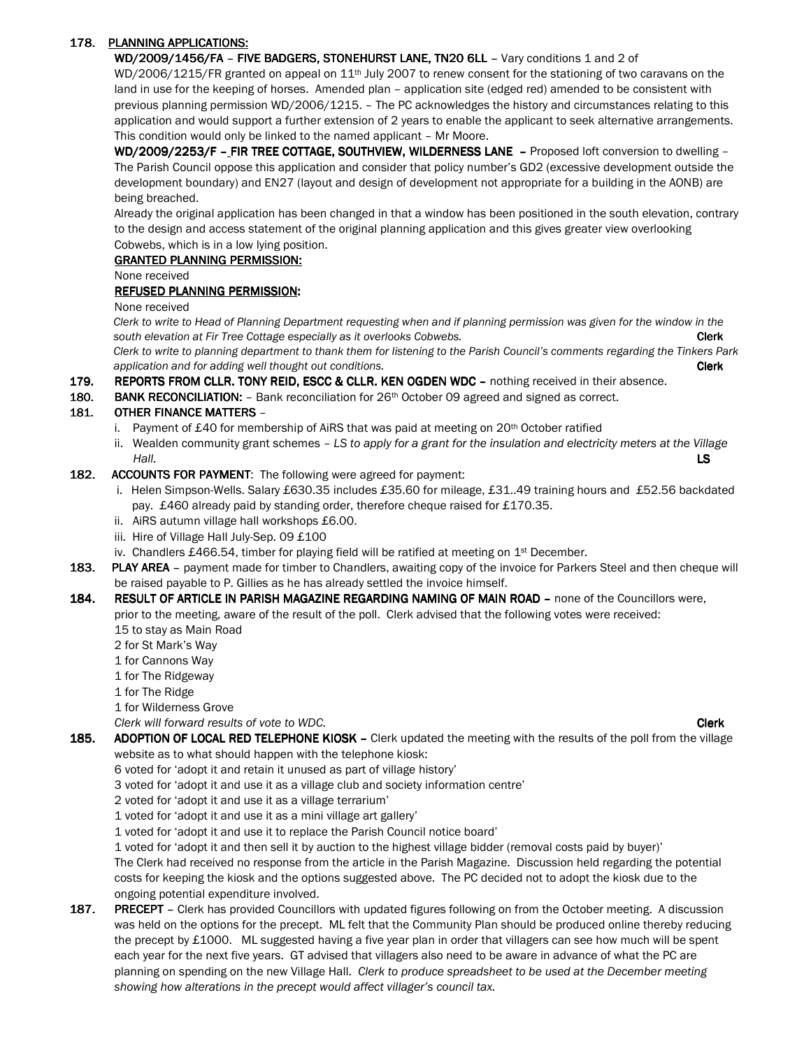## 178. PLANNING APPLICATIONS:

WD/2009/1456/FA - FIVE BADGERS, STONEHURST LANE, TN20 6LL - Vary conditions 1 and 2 of

WD/2006/1215/FR granted on appeal on 11<sup>th</sup> July 2007 to renew consent for the stationing of two caravans on the land in use for the keeping of horses. Amended plan – application site (edged red) amended to be consistent with previous planning permission WD/2006/1215. – The PC acknowledges the history and circumstances relating to this application and would support a further extension of 2 years to enable the applicant to seek alternative arrangements. This condition would only be linked to the named applicant – Mr Moore.

WD/2009/2253/F - FIR TREE COTTAGE, SOUTHVIEW, WILDERNESS LANE - Proposed loft conversion to dwelling -The Parish Council oppose this application and consider that policy number's GD2 (excessive development outside the development boundary) and EN27 (layout and design of development not appropriate for a building in the AONB) are being breached.

Already the original application has been changed in that a window has been positioned in the south elevation, contrary to the design and access statement of the original planning application and this gives greater view overlooking Cobwebs, which is in a low lying position.

### GRANTED PLANNING PERMISSION: GRANTED PLANNING PERMISSION:

None received

## REFUSED PLANNING PERMISSION:

None received

 Clerk to write to Head of Planning Department requesting when and if planning permission was given for the window in the south elevation at Fir Tree Cottage especially as it overlooks Cobwebs. Community controllering the clerk

 Clerk to write to planning department to thank them for listening to the Parish Council's comments regarding the Tinkers Park application and for adding well thought out conditions. Clerk and the conditions of the conditions of the conditions of the conditions of the conditions of the conditions of the conditions of the conditions of the conditio

- 179. REPORTS FROM CLLR. TONY REID, ESCC & CLLR. KEN OGDEN WDC nothing received in their absence.
- 180. BANK RECONCILIATION: Bank reconciliation for 26<sup>th</sup> October 09 agreed and signed as correct.

### 181. OTHER FINANCE MATTERS -

- i. Payment of £40 for membership of AiRS that was paid at meeting on  $20<sup>th</sup>$  October ratified
- ii. Wealden community grant schemes LS to apply for a grant for the insulation and electricity meters at the Village Hall. **LS**
- 182. ACCOUNTS FOR PAYMENT: The following were agreed for payment:
	- i. Helen Simpson-Wells. Salary £630.35 includes £35.60 for mileage, £31..49 training hours and £52.56 backdated pay. £460 already paid by standing order, therefore cheque raised for £170.35.
	- ii. AiRS autumn village hall workshops £6.00.
	- iii. Hire of Village Hall July-Sep. 09 £100
	- iv. Chandlers £466.54, timber for playing field will be ratified at meeting on  $1<sup>st</sup>$  December.
- 183. PLAY AREA payment made for timber to Chandlers, awaiting copy of the invoice for Parkers Steel and then cheque will be raised payable to P. Gillies as he has already settled the invoice himself.
- 184. RESULT OF ARTICLE IN PARISH MAGAZINE REGARDING NAMING OF MAIN ROAD none of the Councillors were, prior to the meeting, aware of the result of the poll. Clerk advised that the following votes were received: 15 to stay as Main Road
	- 2 for St Mark's Way
	- 1 for Cannons Way
	- 1 for The Ridgeway
	- 1 for The Ridge
	- 1 for Wilderness Grove

Clerk will forward results of vote to WDC. Clearly a state of the state of the clerk of the clerk clerk clerk

- 185. ADOPTION OF LOCAL RED TELEPHONE KIOSK Clerk updated the meeting with the results of the poll from the village website as to what should happen with the telephone kiosk:
	- 6 voted for 'adopt it and retain it unused as part of village history'
	- 3 voted for 'adopt it and use it as a village club and society information centre'
	- 2 voted for 'adopt it and use it as a village terrarium'
	- 1 voted for 'adopt it and use it as a mini village art gallery'
	- 1 voted for 'adopt it and use it to replace the Parish Council notice board'

1 voted for 'adopt it and then sell it by auction to the highest village bidder (removal costs paid by buyer)'

 The Clerk had received no response from the article in the Parish Magazine. Discussion held regarding the potential costs for keeping the kiosk and the options suggested above. The PC decided not to adopt the kiosk due to the ongoing potential expenditure involved.

187. PRECEPT - Clerk has provided Councillors with updated figures following on from the October meeting. A discussion was held on the options for the precept. ML felt that the Community Plan should be produced online thereby reducing the precept by £1000. ML suggested having a five year plan in order that villagers can see how much will be spent each year for the next five years. GT advised that villagers also need to be aware in advance of what the PC are planning on spending on the new Village Hall. Clerk to produce spreadsheet to be used at the December meeting showing how alterations in the precept would affect villager's council tax.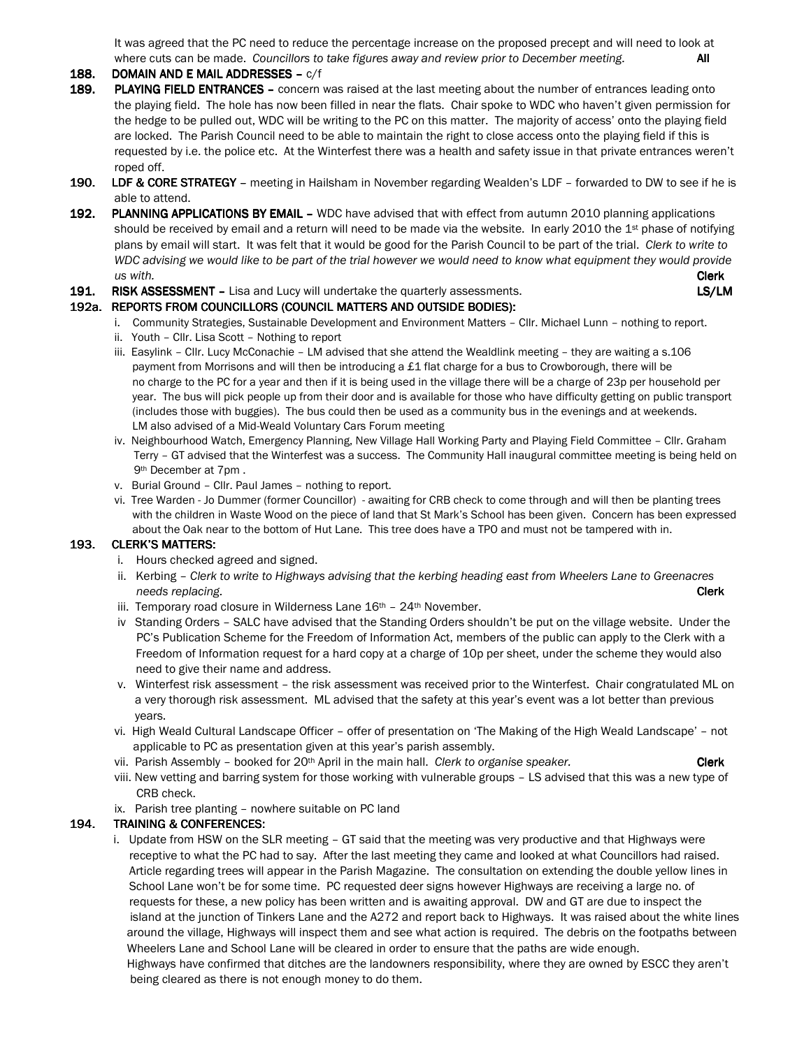It was agreed that the PC need to reduce the percentage increase on the proposed precept and will need to look at where cuts can be made. Councillors to take figures away and review prior to December meeting. All

### $188.$  DOMAIN AND E MAIL ADDRESSES –  $c/f$

- 189. PLAYING FIELD ENTRANCES concern was raised at the last meeting about the number of entrances leading onto the playing field. The hole has now been filled in near the flats. Chair spoke to WDC who haven't given permission for the hedge to be pulled out, WDC will be writing to the PC on this matter. The majority of access' onto the playing field are locked. The Parish Council need to be able to maintain the right to close access onto the playing field if this is requested by i.e. the police etc. At the Winterfest there was a health and safety issue in that private entrances weren't roped off.
- 190. LDF & CORE STRATEGY meeting in Hailsham in November regarding Wealden's LDF forwarded to DW to see if he is able to attend.
- 192. PLANNING APPLICATIONS BY EMAIL WDC have advised that with effect from autumn 2010 planning applications should be received by email and a return will need to be made via the website. In early 2010 the 1st phase of notifying plans by email will start. It was felt that it would be good for the Parish Council to be part of the trial. Clerk to write to WDC advising we would like to be part of the trial however we would need to know what equipment they would provide  $\mu$ s with. **Clerk**
- 191. RISK ASSESSMENT Lisa and Lucy will undertake the quarterly assessments. **EXALM** LS/LM

# 192a. REPORTS FROM COUNCILLORS (COUNCIL MATTERS AND OUTSIDE BODIES):

- i. Community Strategies, Sustainable Development and Environment Matters Cllr. Michael Lunn nothing to report.
- ii. Youth Cllr. Lisa Scott Nothing to report
- iii. Easylink Cllr. Lucy McConachie LM advised that she attend the Wealdlink meeting they are waiting a s.106 payment from Morrisons and will then be introducing a £1 flat charge for a bus to Crowborough, there will be no charge to the PC for a year and then if it is being used in the village there will be a charge of 23p per household per year. The bus will pick people up from their door and is available for those who have difficulty getting on public transport (includes those with buggies). The bus could then be used as a community bus in the evenings and at weekends. LM also advised of a Mid-Weald Voluntary Cars Forum meeting
- iv. Neighbourhood Watch, Emergency Planning, New Village Hall Working Party and Playing Field Committee Cllr. Graham Terry – GT advised that the Winterfest was a success. The Community Hall inaugural committee meeting is being held on 9th December at 7pm .
- v. Burial Ground Cllr. Paul James nothing to report.
- vi. Tree Warden Jo Dummer (former Councillor) awaiting for CRB check to come through and will then be planting trees with the children in Waste Wood on the piece of land that St Mark's School has been given. Concern has been expressed about the Oak near to the bottom of Hut Lane. This tree does have a TPO and must not be tampered with in.

## 193. CLERK'S MATTERS:

- i. Hours checked agreed and signed.
- ii. Kerbing Clerk to write to Highways advising that the kerbing heading east from Wheelers Lane to Greenacres needs replacing. **Clerk**
- iii. Temporary road closure in Wilderness Lane  $16<sup>th</sup>$   $24<sup>th</sup>$  November.
- iv Standing Orders SALC have advised that the Standing Orders shouldn't be put on the village website. Under the PC's Publication Scheme for the Freedom of Information Act, members of the public can apply to the Clerk with a Freedom of Information request for a hard copy at a charge of 10p per sheet, under the scheme they would also need to give their name and address.
- v. Winterfest risk assessment the risk assessment was received prior to the Winterfest. Chair congratulated ML on a very thorough risk assessment. ML advised that the safety at this year's event was a lot better than previous years.
- vi. High Weald Cultural Landscape Officer offer of presentation on 'The Making of the High Weald Landscape' not applicable to PC as presentation given at this year's parish assembly.
- vii. Parish Assembly booked for  $20<sup>th</sup>$  April in the main hall. Clerk to organise speaker.
- viii. New vetting and barring system for those working with vulnerable groups LS advised that this was a new type of CRB check.
- ix. Parish tree planting nowhere suitable on PC land

## 194. TRAINING & CONFERENCES:

 i. Update from HSW on the SLR meeting – GT said that the meeting was very productive and that Highways were receptive to what the PC had to say. After the last meeting they came and looked at what Councillors had raised. Article regarding trees will appear in the Parish Magazine. The consultation on extending the double yellow lines in School Lane won't be for some time. PC requested deer signs however Highways are receiving a large no. of requests for these, a new policy has been written and is awaiting approval. DW and GT are due to inspect the island at the junction of Tinkers Lane and the A272 and report back to Highways. It was raised about the white lines around the village, Highways will inspect them and see what action is required. The debris on the footpaths between Wheelers Lane and School Lane will be cleared in order to ensure that the paths are wide enough.

 Highways have confirmed that ditches are the landowners responsibility, where they are owned by ESCC they aren't being cleared as there is not enough money to do them.